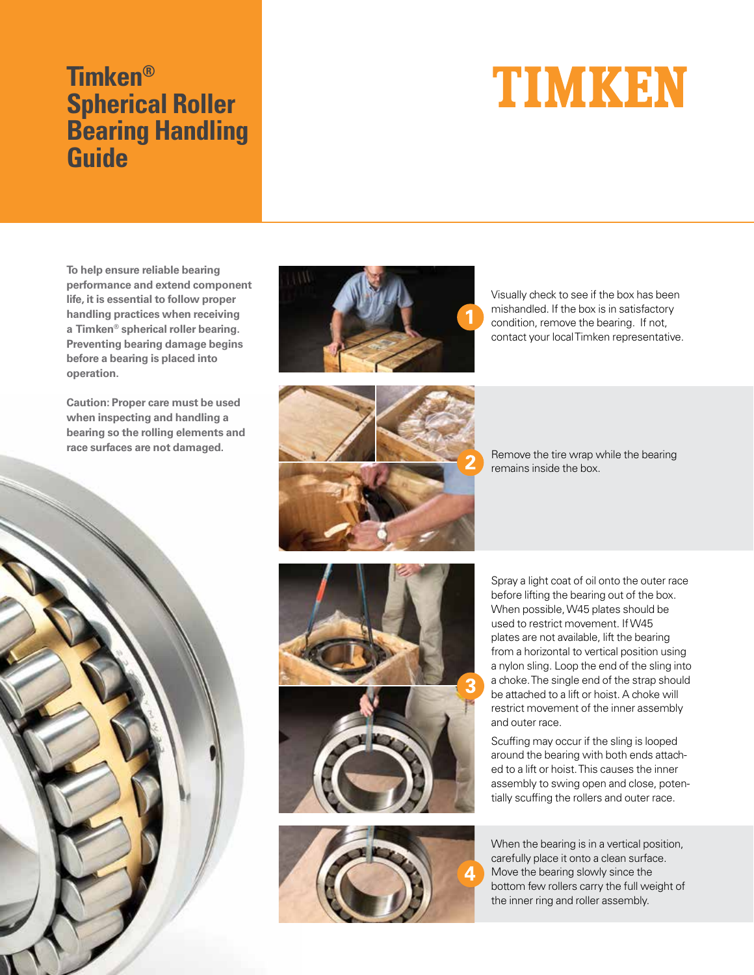## **Timken® Spherical Roller Bearing Handling Guide**

## TIMKEN

**To help ensure reliable bearing performance and extend component life, it is essential to follow proper handling practices when receiving a Timken® spherical roller bearing. Preventing bearing damage begins before a bearing is placed into operation.**

**Caution: Proper care must be used when inspecting and handling a bearing so the rolling elements and race surfaces are not damaged.**





Visually check to see if the box has been mishandled. If the box is in satisfactory condition, remove the bearing. If not, contact your local Timken representative.

Remove the tire wrap while the bearing remains inside the box.





Spray a light coat of oil onto the outer race before lifting the bearing out of the box. When possible, W45 plates should be used to restrict movement. If W45 plates are not available, lift the bearing from a horizontal to vertical position using a nylon sling. Loop the end of the sling into a choke. The single end of the strap should be attached to a lift or hoist. A choke will restrict movement of the inner assembly and outer race.

Scuffing may occur if the sling is looped around the bearing with both ends attached to a lift or hoist. This causes the inner assembly to swing open and close, potentially scuffing the rollers and outer race.

When the bearing is in a vertical position, carefully place it onto a clean surface. Move the bearing slowly since the bottom few rollers carry the full weight of the inner ring and roller assembly.